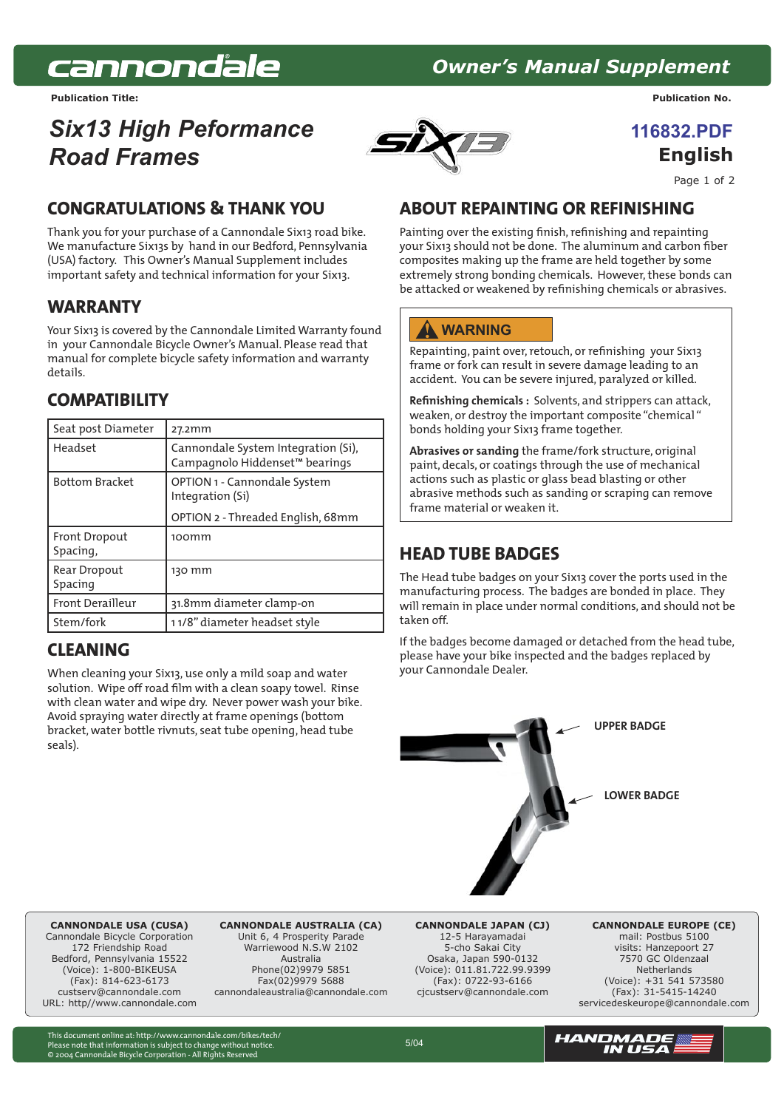# cannondale

# **11683 Owner's Manual Supplement**

**Publication Title: Publication No.**

# *Six13 High Peformance Road Frames*



*<u><b>I16832 PDF</u>* **English**

Page 1 of 2

## **CONGRATULATIONS & THANK YOU**

Thank you for your purchase of a Cannondale Six13 road bike. We manufacture Six13s by hand in our Bedford, Pennsylvania (USA) factory. This Owner's Manual Supplement includes important safety and technical information for your Six13.

#### **WARRANTY**

Your Six13 is covered by the Cannondale Limited Warranty found in your Cannondale Bicycle Owner's Manual. Please read that manual for complete bicycle safety information and warranty details.

## **COMPATIBILITY**

| Seat post Diameter        | 27.2mm                                                                            |
|---------------------------|-----------------------------------------------------------------------------------|
| Headset                   | Cannondale System Integration (Si),<br>Campagnolo Hiddenset <sup>™</sup> bearings |
| <b>Bottom Bracket</b>     | OPTION 1 - Cannondale System<br>Integration (Si)                                  |
|                           | OPTION 2 - Threaded English, 68mm                                                 |
| Front Dropout<br>Spacing, | 100mm                                                                             |
| Rear Dropout<br>Spacing   | 130 mm                                                                            |
| <b>Front Derailleur</b>   | 31.8mm diameter clamp-on                                                          |
| Stem/fork                 | 11/8" diameter headset style                                                      |

#### **CLEANING**

When cleaning your Six13, use only a mild soap and water solution. Wipe off road film with a clean soapy towel. Rinse with clean water and wipe dry. Never power wash your bike. Avoid spraying water directly at frame openings (bottom bracket, water bottle rivnuts, seat tube opening, head tube seals).

#### **ABOUT REPAINTING OR REFINISHING**

Painting over the existing finish, refinishing and repainting your Six13 should not be done. The aluminum and carbon fiber composites making up the frame are held together by some extremely strong bonding chemicals. However, these bonds can be attacked or weakened by refinishing chemicals or abrasives.

#### **WARNING**

Repainting, paint over, retouch, or refinishing your Six13 frame or fork can result in severe damage leading to an accident. You can be severe injured, paralyzed or killed.

**Refinishing chemicals :** Solvents, and strippers can attack, weaken, or destroy the important composite "chemical " bonds holding your Six13 frame together.

**Abrasives or sanding** the frame/fork structure, original paint, decals, or coatings through the use of mechanical actions such as plastic or glass bead blasting or other abrasive methods such as sanding or scraping can remove frame material or weaken it.

## **HEAD TUBE BADGES**

The Head tube badges on your Six13 cover the ports used in the manufacturing process. The badges are bonded in place. They will remain in place under normal conditions, and should not be taken off.

If the badges become damaged or detached from the head tube, please have your bike inspected and the badges replaced by your Cannondale Dealer.



**CANNONDALE USA (CUSA)** Cannondale Bicycle Corporation

172 Friendshin Road Bedford, Pennsylvania 15522 (Voice): 1-800-BIKEUSA (Fax): 814-623-6173 custserv@cannondale.com [URL: http//www.cannondale.com](http://www.cannondale.com)

**CANNONDALE AUSTRALIA (CA)** Unit 6, 4 Prosperity Parade Warriewood N.S.W 2102 Australia Phone(02)9979 5851 Fax(02)9979 5688 cannondaleaustralia@cannondale.com

**CANNONDALE JAPAN (CJ)** 12-5 Harayamadai 5-cho Sakai City Osaka, Japan 590-0132 (Voice): 011.81.722.99.9399 (Fax): 0722-93-6166 cjcustserv@cannondale.com

**CANNONDALE EUROPE (CE)** mail: Postbus 5100 visits: Hanzepoort 27 7570 GC Oldenzaal Netherlands (Voice): +31 541 573580 (Fax): 31-5415-14240 servicedeskeurope@cannondale.com

This document online at: http://www.cannondale.com/bikes/tech/ Please note that information is subject to change without notice. © 2004 Cannondale Bicycle Corporation - All Rights Reserved

5/04